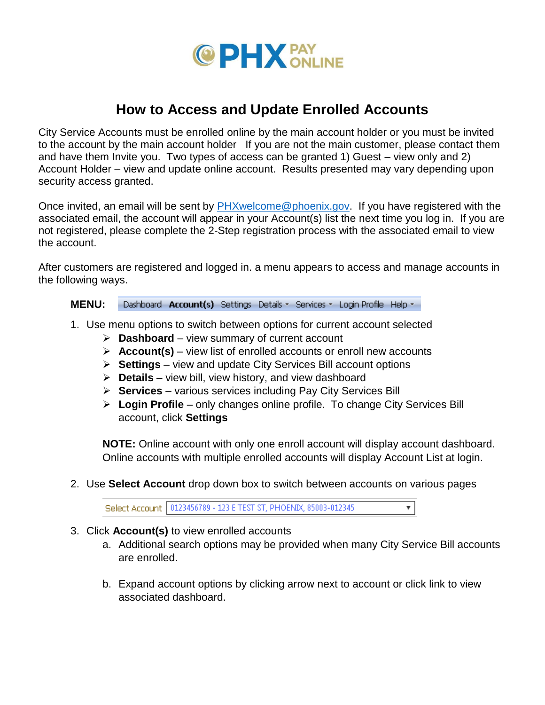

## **How to Access and Update Enrolled Accounts**

City Service Accounts must be enrolled online by the main account holder or you must be invited to the account by the main account holder If you are not the main customer, please contact them and have them Invite you. Two types of access can be granted 1) Guest – view only and 2) Account Holder – view and update online account. Results presented may vary depending upon security access granted.

Once invited, an email will be sent by [PHXwelcome@phoenix.gov.](mailto:PHXwelcome@phoenix.gov) If you have registered with the associated email, the account will appear in your Account(s) list the next time you log in. If you are not registered, please complete the 2-Step registration process with the associated email to view the account.

After customers are registered and logged in. a menu appears to access and manage accounts in the following ways.

**MENU:**  Dashboard Account(s) Settings Details - Services - Login Profile Help -

- 1. Use menu options to switch between options for current account selected
	- **Dashboard** view summary of current account
	- **Account(s)** view list of enrolled accounts or enroll new accounts
	- **Settings**  view and update City Services Bill account options
	- **Details** view bill, view history, and view dashboard
	- **Services** various services including Pay City Services Bill
	- **Login Profile** only changes online profile. To change City Services Bill account, click **Settings**

**NOTE:** Online account with only one enroll account will display account dashboard. Online accounts with multiple enrolled accounts will display Account List at login.

2. Use **Select Account** drop down box to switch between accounts on various pages

Select Account 0123456789 - 123 E TEST ST, PHOEND(, 85003-012345 ▼

- 3. Click **Account(s)** to view enrolled accounts
	- a. Additional search options may be provided when many City Service Bill accounts are enrolled.
	- b. Expand account options by clicking arrow next to account or click link to view associated dashboard.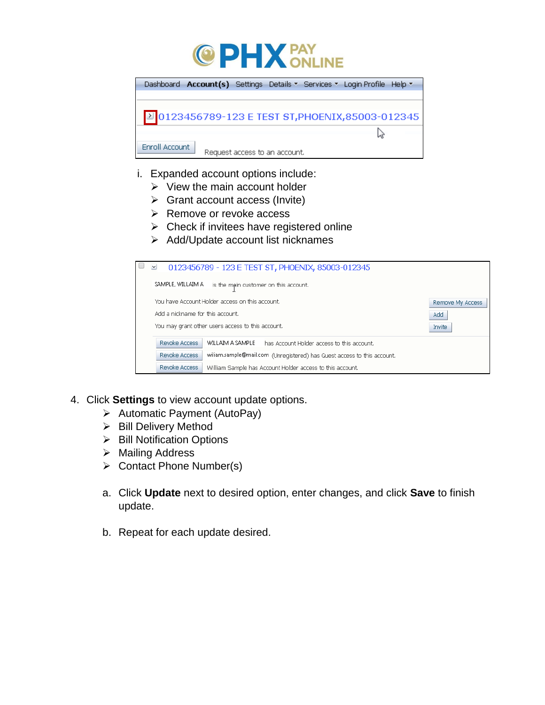



- i. Expanded account options include:
	- $\triangleright$  View the main account holder
	- $\triangleright$  Grant account access (Invite)
	- $\triangleright$  Remove or revoke access
	- $\triangleright$  Check if invitees have registered online
	- $\triangleright$  Add/Update account list nicknames

| $\checkmark$<br>0123456789 - 123 E TEST ST, PHOENIX, 85003-012345                        |                  |
|------------------------------------------------------------------------------------------|------------------|
| SAMPLE, WILLAIM A<br>is the main customer on this account.                               |                  |
| You have Account Holder access on this account.                                          | Remove My Access |
| Add a nickname for this account.<br>Add                                                  |                  |
| You may grant other users access to this account.<br>Invite                              |                  |
| Revoke Access<br>WILLAIM A SAMPLE<br>has Account Holder access to this account.          |                  |
| Revoke Access<br>wiliam.sample@mail.com (Unregistered) has Guest access to this account. |                  |
| Revoke Access<br>William Sample has Account Holder access to this account.               |                  |

- 4. Click **Settings** to view account update options.
	- $\triangleright$  Automatic Payment (AutoPay)
	- > Bill Delivery Method
	- $\triangleright$  Bill Notification Options
	- > Mailing Address
	- $\triangleright$  Contact Phone Number(s)
	- a. Click **Update** next to desired option, enter changes, and click **Save** to finish update.
	- b. Repeat for each update desired.